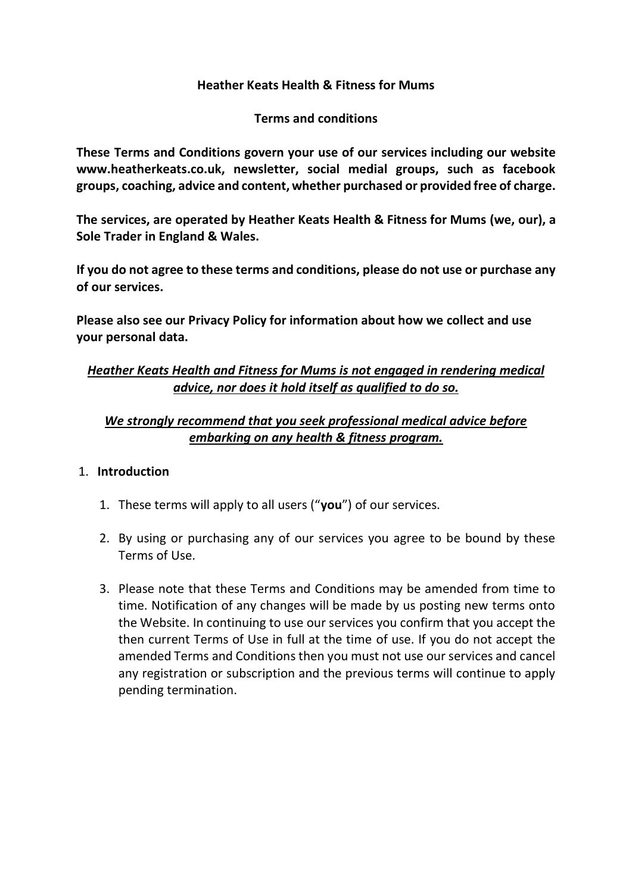#### **Heather Keats Health & Fitness for Mums**

#### **Terms and conditions**

**These Terms and Conditions govern your use of our services including our website www.heatherkeats.co.uk, newsletter, social medial groups, such as facebook groups, coaching, advice and content, whether purchased or provided free of charge.**

**The services, are operated by Heather Keats Health & Fitness for Mums (we, our), a Sole Trader in England & Wales.**

**If you do not agree to these terms and conditions, please do not use or purchase any of our services.**

**Please also see our Privacy Policy for information about how we collect and use your personal data.**

## *Heather Keats Health and Fitness for Mums is not engaged in rendering medical advice, nor does it hold itself as qualified to do so.*

# *We strongly recommend that you seek professional medical advice before embarking on any health & fitness program.*

### 1. **Introduction**

- 1. These terms will apply to all users ("**you**") of our services.
- 2. By using or purchasing any of our services you agree to be bound by these Terms of Use.
- 3. Please note that these Terms and Conditions may be amended from time to time. Notification of any changes will be made by us posting new terms onto the Website. In continuing to use our services you confirm that you accept the then current Terms of Use in full at the time of use. If you do not accept the amended Terms and Conditions then you must not use our services and cancel any registration or subscription and the previous terms will continue to apply pending termination.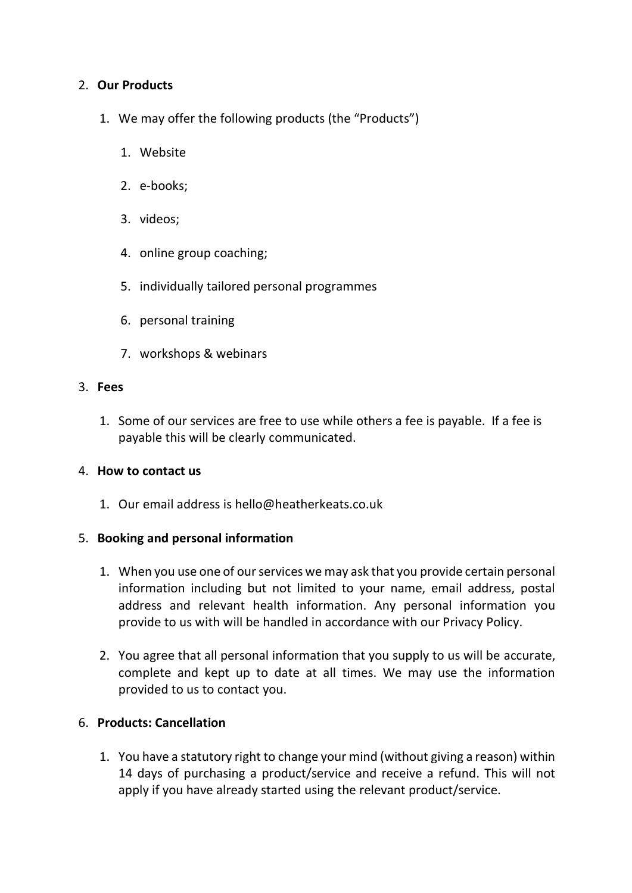#### 2. **Our Products**

- 1. We may offer the following products (the "Products")
	- 1. Website
	- 2. e-books;
	- 3. videos;
	- 4. online group coaching;
	- 5. individually tailored personal programmes
	- 6. personal training
	- 7. workshops & webinars

#### 3. **Fees**

1. Some of our services are free to use while others a fee is payable. If a fee is payable this will be clearly communicated.

#### 4. **How to contact us**

1. Our email address is hello@heatherkeats.co.uk

#### 5. **Booking and personal information**

- 1. When you use one of our services we may ask that you provide certain personal information including but not limited to your name, email address, postal address and relevant health information. Any personal information you provide to us with will be handled in accordance with our Privacy Policy.
- 2. You agree that all personal information that you supply to us will be accurate, complete and kept up to date at all times. We may use the information provided to us to contact you.

### 6. **Products: Cancellation**

1. You have a statutory right to change your mind (without giving a reason) within 14 days of purchasing a product/service and receive a refund. This will not apply if you have already started using the relevant product/service.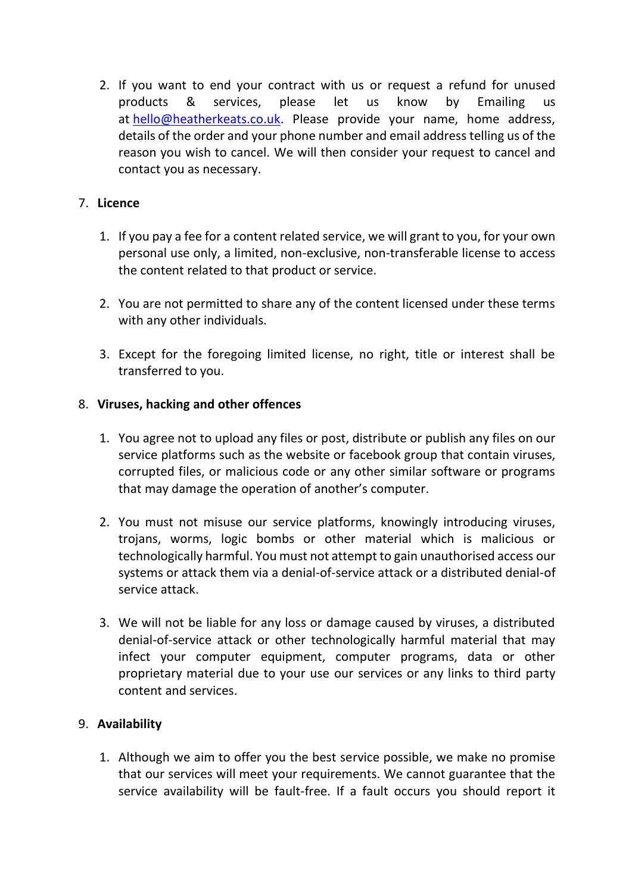2. If you want to end your contract with us or request a refund for unused products & services, please let us know by Emailing us at [hello@heatherkeats.co.uk.](mailto:hello@heatherkeats.co.uk) Please provide your name, home address, details of the order and your phone number and email address telling us of the reason you wish to cancel. We will then consider your request to cancel and contact you as necessary.

## 7. **Licence**

- 1. If you pay a fee for a content related service, we will grant to you, for your own personal use only, a limited, non-exclusive, non-transferable license to access the content related to that product or service.
- 2. You are not permitted to share any of the content licensed under these terms with any other individuals.
- 3. Except for the foregoing limited license, no right, title or interest shall be transferred to you.

### 8. **Viruses, hacking and other offences**

- 1. You agree not to upload any files or post, distribute or publish any files on our service platforms such as the website or facebook group that contain viruses, corrupted files, or malicious code or any other similar software or programs that may damage the operation of another's computer.
- 2. You must not misuse our service platforms, knowingly introducing viruses, trojans, worms, logic bombs or other material which is malicious or technologically harmful. You must not attempt to gain unauthorised access our systems or attack them via a denial-of-service attack or a distributed denial-of service attack.
- 3. We will not be liable for any loss or damage caused by viruses, a distributed denial-of-service attack or other technologically harmful material that may infect your computer equipment, computer programs, data or other proprietary material due to your use our services or any links to third party content and services.

# 9. **Availability**

1. Although we aim to offer you the best service possible, we make no promise that our services will meet your requirements. We cannot guarantee that the service availability will be fault-free. If a fault occurs you should report it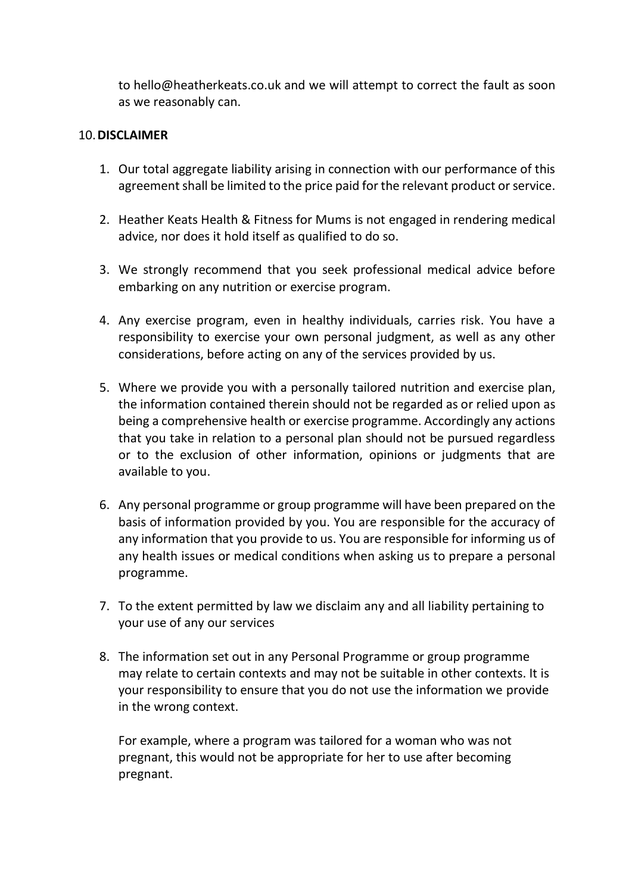to hello@heatherkeats.co.uk and we will attempt to correct the fault as soon as we reasonably can.

#### 10.**DISCLAIMER**

- 1. Our total aggregate liability arising in connection with our performance of this agreement shall be limited to the price paid for the relevant product or service.
- 2. Heather Keats Health & Fitness for Mums is not engaged in rendering medical advice, nor does it hold itself as qualified to do so.
- 3. We strongly recommend that you seek professional medical advice before embarking on any nutrition or exercise program.
- 4. Any exercise program, even in healthy individuals, carries risk. You have a responsibility to exercise your own personal judgment, as well as any other considerations, before acting on any of the services provided by us.
- 5. Where we provide you with a personally tailored nutrition and exercise plan, the information contained therein should not be regarded as or relied upon as being a comprehensive health or exercise programme. Accordingly any actions that you take in relation to a personal plan should not be pursued regardless or to the exclusion of other information, opinions or judgments that are available to you.
- 6. Any personal programme or group programme will have been prepared on the basis of information provided by you. You are responsible for the accuracy of any information that you provide to us. You are responsible for informing us of any health issues or medical conditions when asking us to prepare a personal programme.
- 7. To the extent permitted by law we disclaim any and all liability pertaining to your use of any our services
- 8. The information set out in any Personal Programme or group programme may relate to certain contexts and may not be suitable in other contexts. It is your responsibility to ensure that you do not use the information we provide in the wrong context.

For example, where a program was tailored for a woman who was not pregnant, this would not be appropriate for her to use after becoming pregnant.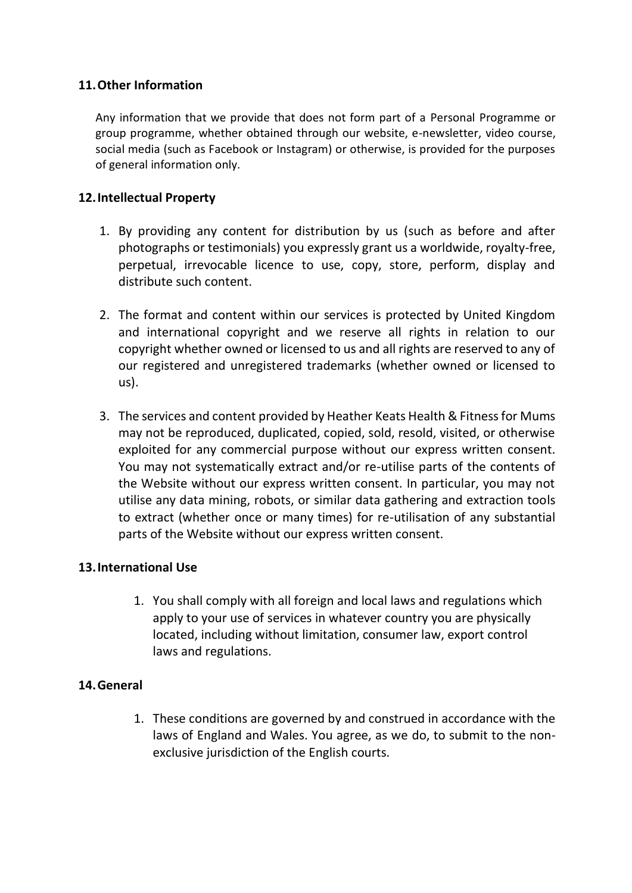### **11.Other Information**

Any information that we provide that does not form part of a Personal Programme or group programme, whether obtained through our website, e-newsletter, video course, social media (such as Facebook or Instagram) or otherwise, is provided for the purposes of general information only.

### **12.Intellectual Property**

- 1. By providing any content for distribution by us (such as before and after photographs or testimonials) you expressly grant us a worldwide, royalty-free, perpetual, irrevocable licence to use, copy, store, perform, display and distribute such content.
- 2. The format and content within our services is protected by United Kingdom and international copyright and we reserve all rights in relation to our copyright whether owned or licensed to us and all rights are reserved to any of our registered and unregistered trademarks (whether owned or licensed to us).
- 3. The services and content provided by Heather Keats Health & Fitness for Mums may not be reproduced, duplicated, copied, sold, resold, visited, or otherwise exploited for any commercial purpose without our express written consent. You may not systematically extract and/or re-utilise parts of the contents of the Website without our express written consent. In particular, you may not utilise any data mining, robots, or similar data gathering and extraction tools to extract (whether once or many times) for re-utilisation of any substantial parts of the Website without our express written consent.

### **13.International Use**

1. You shall comply with all foreign and local laws and regulations which apply to your use of services in whatever country you are physically located, including without limitation, consumer law, export control laws and regulations.

### **14.General**

1. These conditions are governed by and construed in accordance with the laws of England and Wales. You agree, as we do, to submit to the nonexclusive jurisdiction of the English courts.